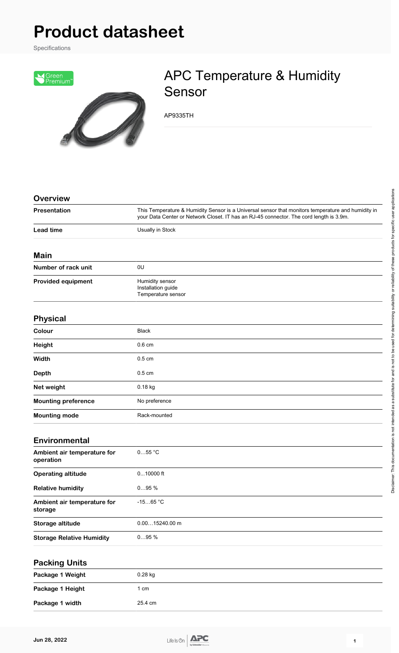## **Product datasheet**

Specifications



## APC Temperature & Humidity Sensor

AP9335TH

| <b>Overview</b>                          |                                                                                                                                                                                               |
|------------------------------------------|-----------------------------------------------------------------------------------------------------------------------------------------------------------------------------------------------|
| Presentation                             | This Temperature & Humidity Sensor is a Universal sensor that monitors temperature and humidity in<br>your Data Center or Network Closet. IT has an RJ-45 connector. The cord length is 3.9m. |
| <b>Lead time</b>                         | Usually in Stock                                                                                                                                                                              |
| Main                                     |                                                                                                                                                                                               |
| Number of rack unit                      | 0U                                                                                                                                                                                            |
| <b>Provided equipment</b>                | Humidity sensor<br>Installation guide<br>Temperature sensor                                                                                                                                   |
| <b>Physical</b>                          |                                                                                                                                                                                               |
| Colour                                   | <b>Black</b>                                                                                                                                                                                  |
| <b>Height</b>                            | $0.6 \text{ cm}$                                                                                                                                                                              |
| Width                                    | $0.5 \text{ cm}$                                                                                                                                                                              |
| Depth                                    | $0.5 \text{ cm}$                                                                                                                                                                              |
| Net weight                               | 0.18 kg                                                                                                                                                                                       |
| <b>Mounting preference</b>               | No preference                                                                                                                                                                                 |
| <b>Mounting mode</b>                     | Rack-mounted                                                                                                                                                                                  |
| <b>Environmental</b>                     |                                                                                                                                                                                               |
| Ambient air temperature for<br>operation | $055$ °C                                                                                                                                                                                      |
| <b>Operating altitude</b>                | $010000$ ft                                                                                                                                                                                   |
| <b>Relative humidity</b>                 | 095%                                                                                                                                                                                          |
| Ambient air temperature for<br>storage   | $-1565 °C$                                                                                                                                                                                    |
| Storage altitude                         | $0.0015240.00$ m                                                                                                                                                                              |
| <b>Storage Relative Humidity</b>         | 095%                                                                                                                                                                                          |
| <b>Packing Units</b>                     |                                                                                                                                                                                               |
| Package 1 Weight                         | 0.28 kg                                                                                                                                                                                       |
| Package 1 Height                         | 1 cm                                                                                                                                                                                          |

Package 1 width 25.4 cm